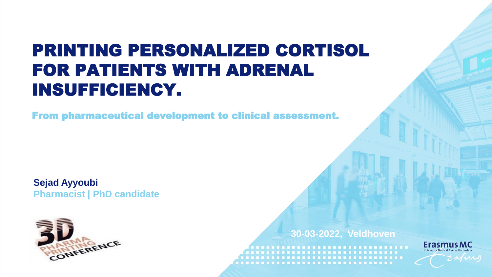### PRINTING PERSONALIZED CORTISOL FOR PATIENTS WITH ADRENAL INSUFFICIENCY.

From pharmaceutical development to clinical assessment.

**Sejad Ayyoubi Pharmacist | PhD candidate**



**30-03-2022, Veldhoven**

. . . . . . . . . . . . . . . . . . 

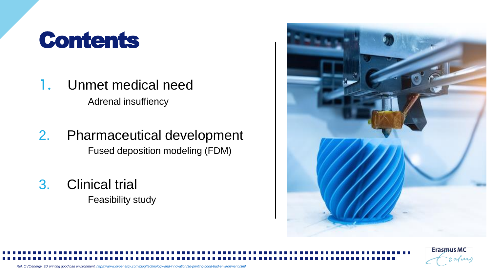### **Contents**

- 1. Unmet medical need Adrenal insuffiency
- 2. Pharmaceutical development Fused deposition modeling (FDM)
- 3. Clinical trial Feasibility study



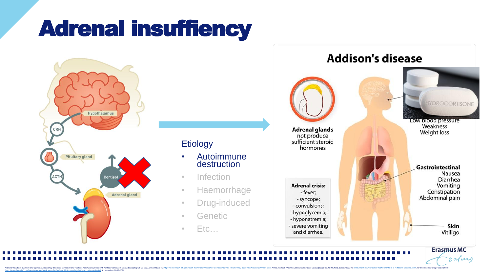## Adrenal insuffiency



### **Etiology**

- Autoimmune destruction
- Infection
- Haemorrhage
- Drug-induced
- Genetic
- Etc…



zafus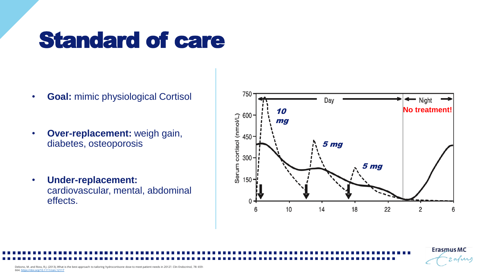## Standard of care

- **Goal:** mimic physiological Cortisol
- **Over-replacement:** weigh gain, diabetes, osteoporosis
- **Under-replacement:**  cardiovascular, mental, abdominal effects.



**Erasmus MC** 

zafiri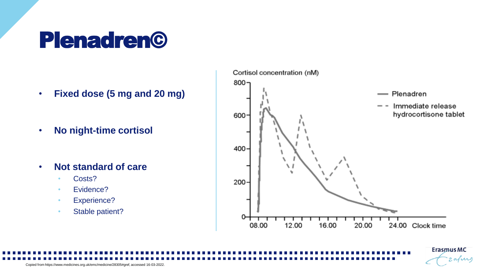## Plenadren©

- **Fixed dose (5 mg and 20 mg)**
- **No night-time cortisol**
- **Not standard of care**
	- Costs?
	- Evidence?
	- Experience?
	- Stable patient?



**Erasmus MC** 

2 aJuro

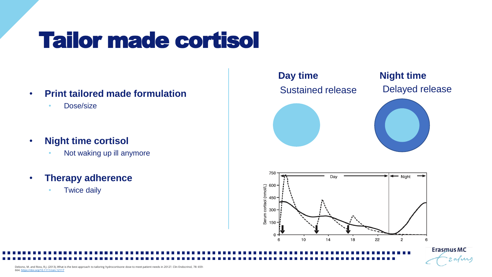## Tailor made cortisol

- **Print tailored made formulation**
	- Dose/size
- **Night time cortisol** 
	- Not waking up ill anymore
- **Therapy adherence**
	- Twice daily



zafiri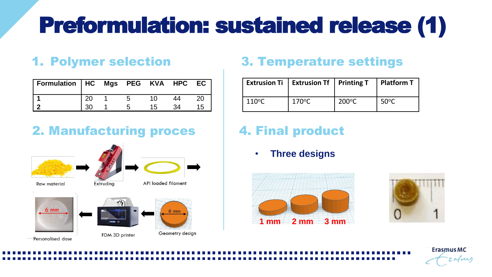# Preformulation: sustained release (1)

### 1. Polymer selection

| Formulation   HC Mgs PEG KVA HPC EC |  |    |    |
|-------------------------------------|--|----|----|
|                                     |  |    | 20 |
|                                     |  | 15 | 15 |

### 2. Manufacturing proces











### 3. Temperature settings

|                 | Extrusion Ti   Extrusion Tf   Printing T |                 | Platform T     |
|-----------------|------------------------------------------|-----------------|----------------|
| $110^{\circ}$ C | $170^{\circ}$ C                          | $200^{\circ}$ C | $50^{\circ}$ C |

### 4. Final product

• **Three designs**





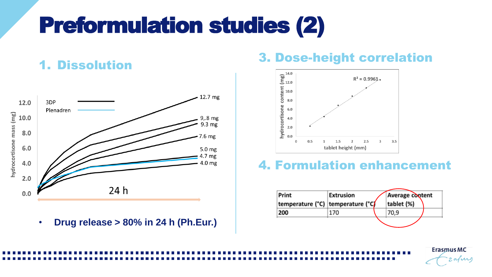## Preformulation studies (2)



• **Drug release > 80% in 24 h (Ph.Eur.)**



### 4. Formulation enhancement

| Print                             | Extrusion | <b>Average content</b> |  |
|-----------------------------------|-----------|------------------------|--|
| temperature (°C) temperature (°C) |           | tablet (%)             |  |
| 200                               | 170       | 70.9                   |  |
|                                   |           |                        |  |

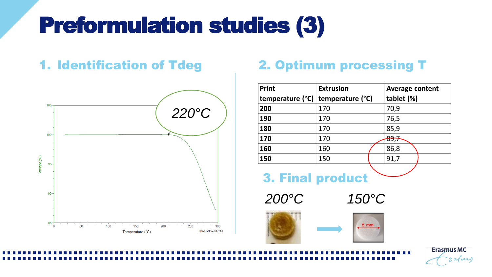## Preformulation studies (3)



### 1. Identification of Tdeg 2. Optimum processing T

| Print            | <b>Extrusion</b> | <b>Average content</b> |  |
|------------------|------------------|------------------------|--|
| temperature (°C) | temperature (°C) | tablet (%)             |  |
| 200              | 170              | 70,9                   |  |
| 190              | 170              | 76,5                   |  |
| 180              | 170              | 85,9                   |  |
| 170              | 170              | <del>89,7</del>        |  |
| 160              | 160              | 86,8                   |  |
| 150              | 150              | 91,7                   |  |

3. Final product

*200°C 150°C*





**Erasmus MC**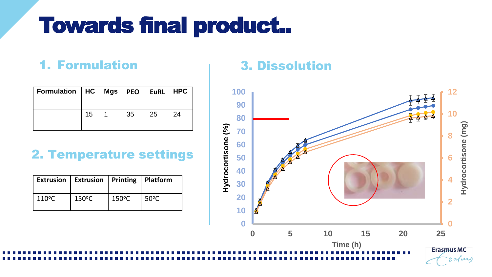## Towards final product..

### 1. Formulation 3. Dissolution

| Formulation   HC Mgs PEO EuRL HPC |    |    |    |    |
|-----------------------------------|----|----|----|----|
|                                   | 15 | 35 | 25 | 24 |

### 2. Temperature settings

|                 | Extrusion   Extrusion   Printing   Platform |                 |      |
|-----------------|---------------------------------------------|-----------------|------|
| $110^{\circ}$ C | $150^{\circ}$ C                             | $150^{\circ}$ C | 50°C |

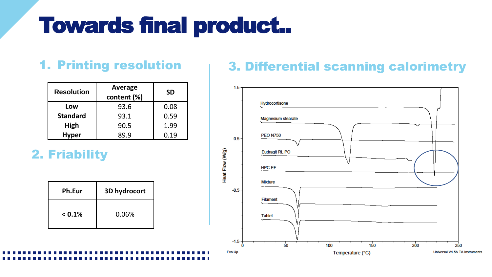## Towards final product..

| <b>Resolution</b> | Average<br>content (%) | <b>SD</b> |  |
|-------------------|------------------------|-----------|--|
| Low               | 93.6                   | 0.08      |  |
| <b>Standard</b>   | 93.1                   | 0.59      |  |
| High              | 90.5                   | 1.99      |  |
| <b>Hyper</b>      | 89.9                   | 0.19      |  |

2. Friability

| Ph.Eur    | 3D hydrocort |
|-----------|--------------|
| $< 0.1\%$ | 0.06%        |

### 1. Printing resolution **4. 1. 2. Differential scanning calorimetry**

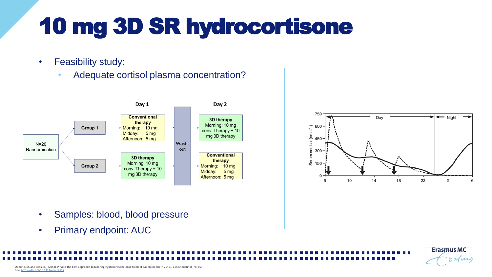## 10 mg 3D SR hydrocortisone

- Feasibility study:
	- Adequate cortisol plasma concentration?





**ErasmusMC** 

zafirs

- Samples: blood, blood pressure
- Primary endpoint: AUC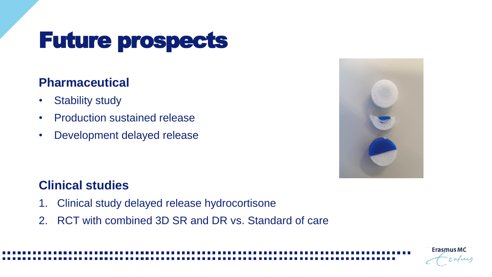## Future prospects

### **Pharmaceutical**

- Stability study
- Production sustained release
- Development delayed release



**Erasmus MC** 

### **Clinical studies**

- 1. Clinical study delayed release hydrocortisone
- 2. RCT with combined 3D SR and DR vs. Standard of care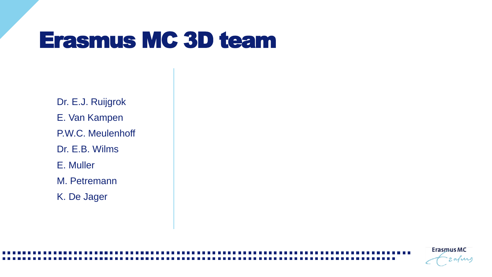## Erasmus MC 3D team

Dr. E.J. Ruijgrok E. Van Kampen P.W.C. Meulenhoff Dr. E.B. Wilms E. Muller M. Petremann K. De Jager